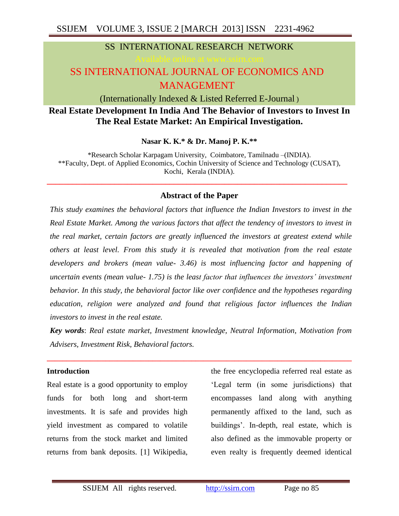## SS INTERNATIONAL RESEARCH NETWORK

# SS INTERNATIONAL JOURNAL OF ECONOMICS AND MANAGEMENT

(Internationally Indexed & Listed Referred E-Journal )

## **Real Estate Development In India And The Behavior of Investors to Invest In The Real Estate Market: An Empirical Investigation.**

**Nasar K. K.\* & Dr. Manoj P. K.\*\***

\*Research Scholar Karpagam University, Coimbatore, Tamilnadu –(INDIA). \*\*Faculty, Dept. of Applied Economics, Cochin University of Science and Technology (CUSAT), Kochi, Kerala (INDIA).

## **Abstract of the Paper**

**\_\_\_\_\_\_\_\_\_\_\_\_\_\_\_\_\_\_\_\_\_\_\_\_\_\_\_\_\_\_\_\_\_\_\_\_\_\_\_\_\_\_\_\_\_\_\_\_\_\_\_\_\_\_\_\_\_\_\_\_\_\_\_\_\_\_\_\_\_\_\_**

*This study examines the behavioral factors that influence the Indian Investors to invest in the Real Estate Market. Among the various factors that affect the tendency of investors to invest in the real market, certain factors are greatly influenced the investors at greatest extend while others at least level. From this study it is revealed that motivation from the real estate developers and brokers (mean value- 3.46) is most influencing factor and happening of uncertain events (mean value- 1.75) is the least factor that influences the investors' investment behavior. In this study, the behavioral factor like over confidence and the hypotheses regarding education, religion were analyzed and found that religious factor influences the Indian investors to invest in the real estate.*

*Key words*: *Real estate market, Investment knowledge, Neutral Information, Motivation from Advisers, Investment Risk, Behavioral factors.*

**\_\_\_\_\_\_\_\_\_\_\_\_\_\_\_\_\_\_\_\_\_\_\_\_\_\_\_\_\_\_\_\_\_\_\_\_\_\_\_\_\_\_\_\_\_\_\_\_\_\_\_\_\_\_\_\_\_\_\_\_\_\_\_\_\_\_\_\_\_\_\_\_\_\_\_\_\_\_**

#### **Introduction**

Real estate is a good opportunity to employ funds for both long and short-term investments. It is safe and provides high yield investment as compared to volatile returns from the stock market and limited returns from bank deposits. [1] Wikipedia,

the free encyclopedia referred real estate as 'Legal term (in some jurisdictions) that encompasses land along with anything permanently affixed to the land, such as buildings'. In-depth, real estate, which is also defined as the immovable property or even realty is frequently deemed identical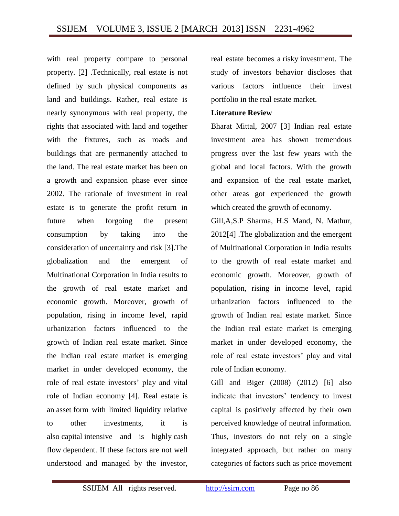with real property compare to personal property. [2] .Technically, real estate is not defined by such physical components as land and buildings. Rather, real estate is nearly synonymous with real property, the rights that associated with land and together with the fixtures, such as roads and buildings that are permanently attached to the land. The real estate market has been on a growth and expansion phase ever since 2002. The rationale of investment in real estate is to generate the profit return in future when forgoing the present consumption by taking into the consideration of uncertainty and risk [3].The globalization and the emergent of Multinational Corporation in India results to the growth of real estate market and economic growth. Moreover, growth of population, rising in income level, rapid urbanization factors influenced to the growth of Indian real estate market. Since the Indian real estate market is emerging market in under developed economy, the role of real estate investors' play and vital role of Indian economy [4]. Real estate is an asset form with limited liquidity relative to other investments, it is also capital intensive and is highly cash flow dependent. If these factors are not well understood and managed by the investor,

real estate becomes a risky investment. The study of investors behavior discloses that various factors influence their invest portfolio in the real estate market.

#### **Literature Review**

Bharat Mittal, 2007 [3] Indian real estate investment area has shown tremendous progress over the last few years with the global and local factors. With the growth and expansion of the real estate market, other areas got experienced the growth which created the growth of economy.

Gill,A,S.P Sharma, H.S Mand, N. Mathur, 2012[4] .The globalization and the emergent of Multinational Corporation in India results to the growth of real estate market and economic growth. Moreover, growth of population, rising in income level, rapid urbanization factors influenced to the growth of Indian real estate market. Since the Indian real estate market is emerging market in under developed economy, the role of real estate investors' play and vital role of Indian economy.

Gill and Biger (2008) (2012) [6] also indicate that investors' tendency to invest capital is positively affected by their own perceived knowledge of neutral information. Thus, investors do not rely on a single integrated approach, but rather on many categories of factors such as price movement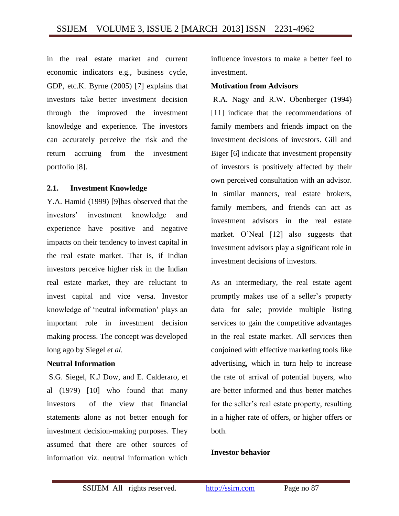in the real estate market and current economic indicators e.g., business cycle, GDP, etc.K. Byrne (2005) [7] explains that investors take better investment decision through the improved the investment knowledge and experience. The investors can accurately perceive the risk and the return accruing from the investment portfolio [8].

## **2.1. Investment Knowledge**

Y.A. Hamid (1999) [9]has observed that the investors' investment knowledge and experience have positive and negative impacts on their tendency to invest capital in the real estate market. That is, if Indian investors perceive higher risk in the Indian real estate market, they are reluctant to invest capital and vice versa. Investor knowledge of 'neutral information' plays an important role in investment decision making process. The concept was developed long ago by Siegel *et al.*

## **Neutral Information**

S.G. Siegel, K.J Dow, and E. Calderaro, et al (1979) [10] who found that many investors of the view that financial statements alone as not better enough for investment decision-making purposes. They assumed that there are other sources of information viz. neutral information which

influence investors to make a better feel to investment.

## **Motivation from Advisors**

R.A. Nagy and R.W. Obenberger (1994) [11] indicate that the recommendations of family members and friends impact on the investment decisions of investors. Gill and Biger [6] indicate that investment propensity of investors is positively affected by their own perceived consultation with an advisor. In similar manners, real estate brokers, family members, and friends can act as investment advisors in the real estate market. O'Neal [12] also suggests that investment advisors play a significant role in investment decisions of investors.

As an intermediary, the real estate agent promptly makes use of a seller's property data for sale; provide multiple listing services to gain the competitive advantages in the real estate market*.* All services then conjoined with effective marketing tools like advertising, which in turn help to increase the rate of arrival of potential buyers, who are better informed and thus better matches for the seller's real estate property, resulting in a higher rate of offers, or higher offers or both.

## **Investor behavior**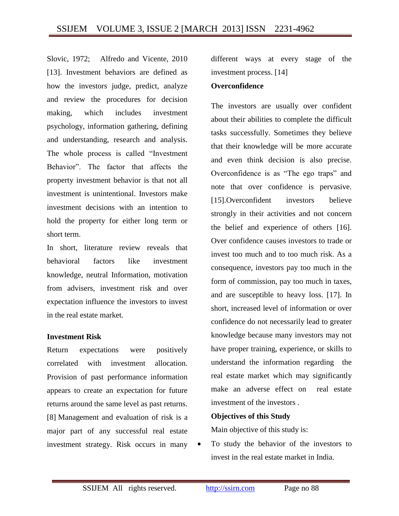Slovic, 1972; Alfredo and Vicente, 2010 [13]. Investment behaviors are defined as how the investors judge, predict, analyze and review the procedures for decision making, which includes investment psychology, information gathering, defining and understanding, research and analysis. The whole process is called "Investment Behavior". The factor that affects the property investment behavior is that not all investment is unintentional. Investors make investment decisions with an intention to hold the property for either long term or short term.

In short, literature review reveals that behavioral factors like investment knowledge, neutral Information, motivation from advisers, investment risk and over expectation influence the investors to invest in the real estate market.

#### **Investment Risk**

Return expectations were positively correlated with investment allocation. Provision of past performance information appears to create an expectation for future returns around the same level as past returns. [8] Management and evaluation of risk is a major part of any successful real estate investment strategy. Risk occurs in many

different ways at every stage of the investment process. [14]

#### **Overconfidence**

The investors are usually over confident about their abilities to complete the difficult tasks successfully. Sometimes they believe that their knowledge will be more accurate and even think decision is also precise. Overconfidence is as "The ego traps" and note that over confidence is pervasive. [15].Overconfident investors believe strongly in their activities and not concern the belief and experience of others [16]. Over confidence causes investors to trade or invest too much and to too much risk. As a consequence, investors pay too much in the form of commission, pay too much in taxes, and are susceptible to heavy loss. [17]. In short, increased level of information or over confidence do not necessarily lead to greater knowledge because many investors may not have proper training, experience, or skills to understand the information regarding the real estate market which may significantly make an adverse effect on real estate investment of the investors .

#### **Objectives of this Study**

Main objective of this study is:

• To study the behavior of the investors to invest in the real estate market in India.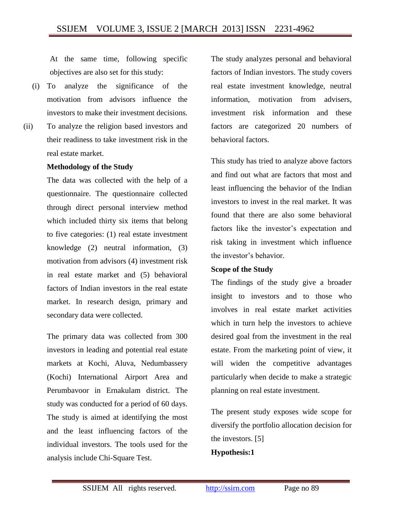At the same time, following specific objectives are also set for this study:

- (i) To analyze the significance of the motivation from advisors influence the investors to make their investment decisions.
- (ii) To analyze the religion based investors and their readiness to take investment risk in the real estate market.

#### **Methodology of the Study**

The data was collected with the help of a questionnaire. The questionnaire collected through direct personal interview method which included thirty six items that belong to five categories: (1) real estate investment knowledge (2) neutral information, (3) motivation from advisors (4) investment risk in real estate market and (5) behavioral factors of Indian investors in the real estate market. In research design, primary and secondary data were collected.

The primary data was collected from 300 investors in leading and potential real estate markets at Kochi, Aluva, Nedumbassery (Kochi) International Airport Area and Perumbavoor in Ernakulam district. The study was conducted for a period of 60 days. The study is aimed at identifying the most and the least influencing factors of the individual investors. The tools used for the analysis include Chi-Square Test.

The study analyzes personal and behavioral factors of Indian investors. The study covers real estate investment knowledge, neutral information, motivation from advisers, investment risk information and these factors are categorized 20 numbers of behavioral factors.

This study has tried to analyze above factors and find out what are factors that most and least influencing the behavior of the Indian investors to invest in the real market. It was found that there are also some behavioral factors like the investor's expectation and risk taking in investment which influence the investor's behavior.

#### **Scope of the Study**

The findings of the study give a broader insight to investors and to those who involves in real estate market activities which in turn help the investors to achieve desired goal from the investment in the real estate. From the marketing point of view, it will widen the competitive advantages particularly when decide to make a strategic planning on real estate investment.

The present study exposes wide scope for diversify the portfolio allocation decision for the investors. [5] **Hypothesis:1**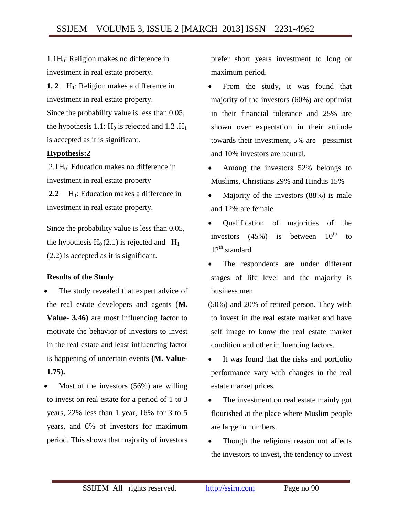$1.1H<sub>0</sub>$ : Religion makes no difference in investment in real estate property.

**1. 2** H<sub>1</sub>: Religion makes a difference in investment in real estate property. Since the probability value is less than 0.05, the hypothesis 1.1:  $H_0$  is rejected and 1.2  $H_1$ is accepted as it is significant.

## **Hypothesis:2**

 $2.1H<sub>0</sub>$ : Education makes no difference in investment in real estate property

2.2 H<sub>1</sub>: Education makes a difference in investment in real estate property.

Since the probability value is less than 0.05, the hypothesis  $H_0(2.1)$  is rejected and  $H_1$ (2.2) is accepted as it is significant.

## **Results of the Study**

- The study revealed that expert advice of the real estate developers and agents (**M. Value- 3.46)** are most influencing factor to motivate the behavior of investors to invest in the real estate and least influencing factor is happening of uncertain events **(M. Value-1.75).**
- Most of the investors (56%) are willing to invest on real estate for a period of 1 to 3 years, 22% less than 1 year, 16% for 3 to 5 years, and 6% of investors for maximum period. This shows that majority of investors

prefer short years investment to long or maximum period.

- From the study, it was found that majority of the investors (60%) are optimist in their financial tolerance and 25% are shown over expectation in their attitude towards their investment, 5% are pessimist and 10% investors are neutral.
- Among the investors 52% belongs to Muslims, Christians 29% and Hindus 15%
- Majority of the investors (88%) is male and 12% are female.
- Qualification of majorities of the investors  $(45%)$  is between  $10^{th}$  to 12<sup>th</sup>.standard
- The respondents are under different stages of life level and the majority is business men
- (50%) and 20% of retired person. They wish to invest in the real estate market and have self image to know the real estate market condition and other influencing factors.
- It was found that the risks and portfolio performance vary with changes in the real estate market prices.
- The investment on real estate mainly got flourished at the place where Muslim people are large in numbers.
- Though the religious reason not affects the investors to invest, the tendency to invest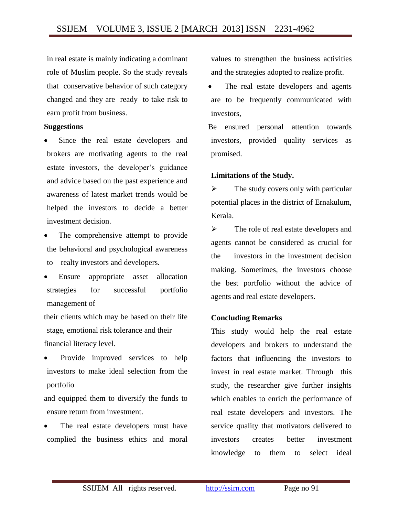in real estate is mainly indicating a dominant role of Muslim people. So the study reveals that conservative behavior of such category changed and they are ready to take risk to earn profit from business.

#### **Suggestions**

- Since the real estate developers and brokers are motivating agents to the real estate investors, the developer's guidance and advice based on the past experience and awareness of latest market trends would be helped the investors to decide a better investment decision.
- The comprehensive attempt to provide the behavioral and psychological awareness to realty investors and developers.
- Ensure appropriate asset allocation strategies for successful portfolio management of

their clients which may be based on their life stage, emotional risk tolerance and their financial literacy level.

 Provide improved services to help investors to make ideal selection from the portfolio

and equipped them to diversify the funds to ensure return from investment.

 The real estate developers must have complied the business ethics and moral values to strengthen the business activities and the strategies adopted to realize profit.

 The real estate developers and agents are to be frequently communicated with investors,

Be ensured personal attention towards investors, provided quality services as promised.

#### **Limitations of the Study.**

 $\triangleright$  The study covers only with particular potential places in the district of Ernakulum, Kerala.

 $\triangleright$  The role of real estate developers and agents cannot be considered as crucial for the investors in the investment decision making. Sometimes, the investors choose the best portfolio without the advice of agents and real estate developers.

#### **Concluding Remarks**

This study would help the real estate developers and brokers to understand the factors that influencing the investors to invest in real estate market. Through this study, the researcher give further insights which enables to enrich the performance of real estate developers and investors. The service quality that motivators delivered to investors creates better investment knowledge to them to select ideal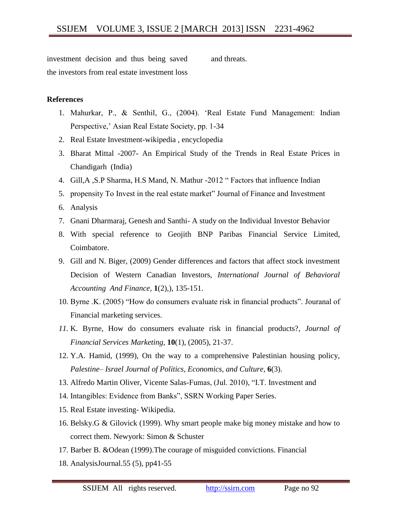investment decision and thus being saved the investors from real estate investment loss and threats.

#### **References**

- 1. Mahurkar, P., & Senthil, G., (2004). 'Real Estate Fund Management: Indian Perspective,' Asian Real Estate Society, pp. 1-34
- 2. Real Estate Investment-wikipedia , encyclopedia
- 3. Bharat Mittal -2007- An Empirical Study of the Trends in Real Estate Prices in Chandigarh (India)
- 4. Gill,A ,S.P Sharma, H.S Mand, N. Mathur -2012 " Factors that influence Indian
- 5. propensity To Invest in the real estate market" Journal of Finance and Investment
- 6. Analysis
- 7. Gnani Dharmaraj, Genesh and Santhi- A study on the Individual Investor Behavior
- 8. With special reference to Geojith BNP Paribas Financial Service Limited, Coimbatore.
- 9. Gill and N. Biger, (2009) Gender differences and factors that affect stock investment Decision of Western Canadian Investors, *International Journal of Behavioral Accounting And Finance*, **1**(2),), 135-151.
- 10. Byrne .K. (2005) "How do consumers evaluate risk in financial products". Jouranal of Financial marketing services.
- *11.* K. Byrne, How do consumers evaluate risk in financial products?, *Journal of Financial Services Marketing*, **10**(1), (2005), 21-37.
- 12. Y.A. Hamid, (1999), On the way to a comprehensive Palestinian housing policy, *Palestine– Israel Journal of Politics, Economics, and Culture*, **6**(3).
- 13. Alfredo Martin Oliver, Vicente Salas-Fumas, (Jul. 2010), "I.T. Investment and
- 14. Intangibles: Evidence from Banks", SSRN Working Paper Series.
- 15. Real Estate investing- Wikipedia.
- 16. Belsky.G & Gilovick (1999). Why smart people make big money mistake and how to correct them. Newyork: Simon & Schuster
- 17. Barber B. &Odean (1999).The courage of misguided convictions. Financial
- 18. AnalysisJournal.55 (5), pp41-55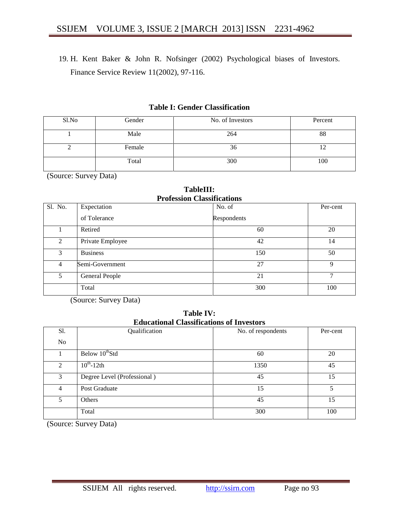19. H. Kent Baker & John R. Nofsinger (2002) Psychological biases of Investors. Finance Service Review 11(2002), 97-116.

#### **Table I: Gender Classification**

| Sl.No | Gender | No. of Investors | Percent |
|-------|--------|------------------|---------|
|       | Male   | 264              | 88      |
|       | Female | 36               |         |
|       | Total  | 300              | 100     |

(Source: Survey Data)

**TableIII: Profession Classifications**

|                | Profession Classifications |             |          |  |  |  |  |  |
|----------------|----------------------------|-------------|----------|--|--|--|--|--|
| Sl. No.        | Expectation                | No. of      | Per-cent |  |  |  |  |  |
|                | of Tolerance               | Respondents |          |  |  |  |  |  |
|                | Retired                    | 60          | 20       |  |  |  |  |  |
| $\mathfrak{D}$ | Private Employee           | 42          | 14       |  |  |  |  |  |
| 3              | <b>Business</b>            | 150         | 50       |  |  |  |  |  |
| 4              | Semi-Government            | 27          | Q        |  |  |  |  |  |
| 5              | General People             | 21          | 7        |  |  |  |  |  |
|                | Total                      | 300         | 100      |  |  |  |  |  |

(Source: Survey Data)

**Table IV: Educational Classifications of Investors**

| Sl. | Qualification               | No. of respondents | Per-cent |
|-----|-----------------------------|--------------------|----------|
| No  |                             |                    |          |
|     | Below $10^{th}$ Std         | 60                 | 20       |
| 2   | $10^{th}$ -12th             | 1350               | 45       |
| 3   | Degree Level (Professional) | 45                 | 15       |
| 4   | Post Graduate               | 15                 | 5        |
| 5   | Others                      | 45                 | 15       |
|     | Total                       | 300                | 100      |

(Source: Survey Data)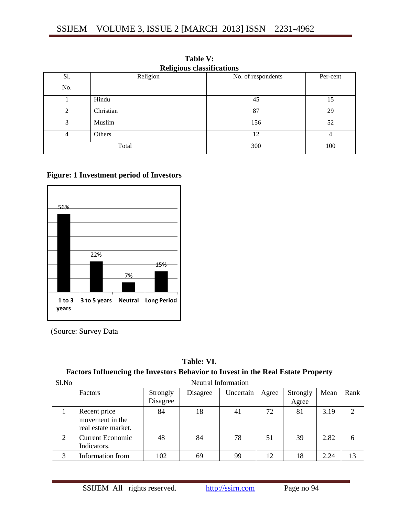|                | <b>Religious classifications</b> |                    |          |  |  |  |  |
|----------------|----------------------------------|--------------------|----------|--|--|--|--|
| Sl.            | Religion                         | No. of respondents | Per-cent |  |  |  |  |
| No.            |                                  |                    |          |  |  |  |  |
|                | Hindu                            | 45                 | 15       |  |  |  |  |
| $\mathfrak{D}$ | Christian                        | 87                 | 29       |  |  |  |  |
| 3              | Muslim                           | 156                | 52       |  |  |  |  |
| $\overline{4}$ | Others                           | 12                 | 4        |  |  |  |  |
|                | Total                            | 300                | 100      |  |  |  |  |

**Table V:**

## **Figure: 1 Investment period of Investors**



(Source: Survey Data

| Table: VI.                                                                              |
|-----------------------------------------------------------------------------------------|
| <b>Factors Influencing the Investors Behavior to Invest in the Real Estate Property</b> |

| Sl.No          | <b>Neutral Information</b>                             |                      |          |           |       |                   |      |      |
|----------------|--------------------------------------------------------|----------------------|----------|-----------|-------|-------------------|------|------|
|                | Factors                                                | Strongly<br>Disagree | Disagree | Uncertain | Agree | Strongly<br>Agree | Mean | Rank |
|                | Recent price<br>movement in the<br>real estate market. | 84                   | 18       | 41        | 72    | 81                | 3.19 | 2    |
| $\overline{2}$ | <b>Current Economic</b><br>Indicators.                 | 48                   | 84       | 78        | 51    | 39                | 2.82 | 6    |
|                | Information from                                       | 102                  | 69       | 99        | 12    | 18                | 2.24 | 13   |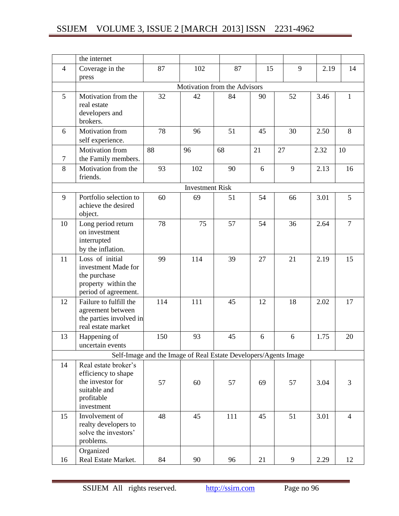|    | the internet                                   |     |                        |                                                                 |    |    |      |                |
|----|------------------------------------------------|-----|------------------------|-----------------------------------------------------------------|----|----|------|----------------|
| 4  | Coverage in the                                | 87  | 102                    | 87                                                              | 15 | 9  | 2.19 | 14             |
|    | press                                          |     |                        |                                                                 |    |    |      |                |
|    |                                                |     |                        | Motivation from the Advisors                                    |    |    |      |                |
| 5  | Motivation from the                            | 32  | 42                     | 84                                                              | 90 | 52 | 3.46 | 1              |
|    | real estate                                    |     |                        |                                                                 |    |    |      |                |
|    | developers and<br>brokers.                     |     |                        |                                                                 |    |    |      |                |
| 6  | Motivation from                                | 78  | 96                     | 51                                                              | 45 | 30 | 2.50 | $8\,$          |
|    | self experience.                               |     |                        |                                                                 |    |    |      |                |
|    | Motivation from                                | 88  | 96                     | 68                                                              | 21 | 27 | 2.32 | 10             |
| 7  | the Family members.                            |     |                        |                                                                 |    |    |      |                |
| 8  | Motivation from the                            | 93  | 102                    | 90                                                              | 6  | 9  | 2.13 | 16             |
|    | friends.                                       |     |                        |                                                                 |    |    |      |                |
|    |                                                |     | <b>Investment Risk</b> |                                                                 |    |    |      |                |
| 9  | Portfolio selection to                         | 60  | 69                     | 51                                                              | 54 | 66 | 3.01 | 5              |
|    | achieve the desired                            |     |                        |                                                                 |    |    |      |                |
|    | object.                                        |     |                        |                                                                 |    |    |      |                |
| 10 | Long period return<br>on investment            | 78  | 75                     | 57                                                              | 54 | 36 | 2.64 | $\overline{7}$ |
|    | interrupted                                    |     |                        |                                                                 |    |    |      |                |
|    | by the inflation.                              |     |                        |                                                                 |    |    |      |                |
| 11 | Loss of initial                                | 99  | 114                    | 39                                                              | 27 | 21 | 2.19 | 15             |
|    | investment Made for                            |     |                        |                                                                 |    |    |      |                |
|    | the purchase                                   |     |                        |                                                                 |    |    |      |                |
|    | property within the                            |     |                        |                                                                 |    |    |      |                |
| 12 | period of agreement.<br>Failure to fulfill the | 114 | 111                    | 45                                                              | 12 | 18 | 2.02 | 17             |
|    | agreement between                              |     |                        |                                                                 |    |    |      |                |
|    | the parties involved in                        |     |                        |                                                                 |    |    |      |                |
|    | real estate market                             |     |                        |                                                                 |    |    |      |                |
| 13 | Happening of                                   | 150 | 93                     | 45                                                              | 6  | 6  | 1.75 | 20             |
|    | uncertain events                               |     |                        |                                                                 |    |    |      |                |
|    |                                                |     |                        | Self-Image and the Image of Real Estate Developers/Agents Image |    |    |      |                |
| 14 | Real estate broker's                           |     |                        |                                                                 |    |    |      |                |
|    | efficiency to shape                            |     |                        |                                                                 |    |    |      |                |
|    | the investor for<br>suitable and               | 57  | 60                     | 57                                                              | 69 | 57 | 3.04 | 3              |
|    | profitable                                     |     |                        |                                                                 |    |    |      |                |
|    | investment                                     |     |                        |                                                                 |    |    |      |                |
| 15 | Involvement of                                 | 48  | 45                     | 111                                                             | 45 | 51 | 3.01 | $\overline{4}$ |
|    | realty developers to                           |     |                        |                                                                 |    |    |      |                |
|    | solve the investors'                           |     |                        |                                                                 |    |    |      |                |
|    | problems.                                      |     |                        |                                                                 |    |    |      |                |
|    | Organized                                      |     |                        |                                                                 |    |    |      |                |
| 16 | Real Estate Market.                            | 84  | 90                     | 96                                                              | 21 | 9  | 2.29 | 12             |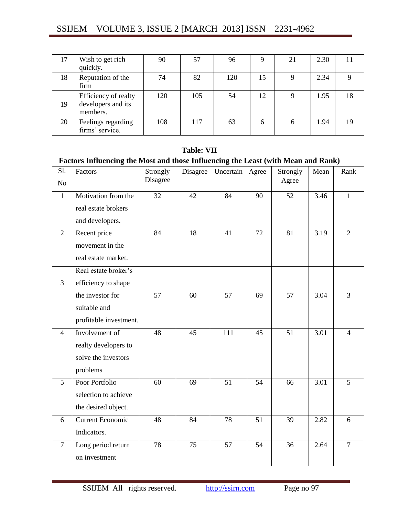|    | Wish to get rich<br>quickly.                           | 90  | 57  | 96  | Q  | 21 | 2.30 |    |
|----|--------------------------------------------------------|-----|-----|-----|----|----|------|----|
| 18 | Reputation of the<br>firm                              | 74  | 82  | 120 | 15 |    | 2.34 |    |
| 19 | Efficiency of realty<br>developers and its<br>members. | 120 | 105 | 54  | 12 |    | 1.95 | 18 |
| 20 | Feelings regarding<br>firms' service.                  | 108 | 117 | 63  | 6  | b  | 1.94 | 19 |

#### **Table: VII**

## **Factors Influencing the Most and those Influencing the Least (with Mean and Rank)**

| S1.<br>No      | Factors                 | Strongly<br>Disagree | Disagree        | Uncertain        | Agree           | Strongly<br>Agree | Mean | Rank           |
|----------------|-------------------------|----------------------|-----------------|------------------|-----------------|-------------------|------|----------------|
|                |                         |                      |                 |                  |                 |                   |      |                |
| $\mathbf{1}$   | Motivation from the     | $\overline{32}$      | $\overline{42}$ | 84               | 90              | 52                | 3.46 | $\mathbf{1}$   |
|                | real estate brokers     |                      |                 |                  |                 |                   |      |                |
|                | and developers.         |                      |                 |                  |                 |                   |      |                |
| $\overline{2}$ | Recent price            | 84                   | $\overline{18}$ | 41               | 72              | 81                | 3.19 | $\overline{2}$ |
|                | movement in the         |                      |                 |                  |                 |                   |      |                |
|                | real estate market.     |                      |                 |                  |                 |                   |      |                |
|                | Real estate broker's    |                      |                 |                  |                 |                   |      |                |
| $\overline{3}$ | efficiency to shape     |                      |                 |                  |                 |                   |      |                |
|                | the investor for        | 57                   | 60              | 57               | 69              | 57                | 3.04 | 3              |
|                | suitable and            |                      |                 |                  |                 |                   |      |                |
|                | profitable investment.  |                      |                 |                  |                 |                   |      |                |
| $\overline{4}$ | Involvement of          | 48                   | $\overline{45}$ | $\overline{111}$ | 45              | $\overline{51}$   | 3.01 | $\overline{4}$ |
|                | realty developers to    |                      |                 |                  |                 |                   |      |                |
|                | solve the investors     |                      |                 |                  |                 |                   |      |                |
|                | problems                |                      |                 |                  |                 |                   |      |                |
| 5 <sup>5</sup> | Poor Portfolio          | 60                   | 69              | 51               | 54              | 66                | 3.01 | 5              |
|                | selection to achieve    |                      |                 |                  |                 |                   |      |                |
|                | the desired object.     |                      |                 |                  |                 |                   |      |                |
| 6              | <b>Current Economic</b> | 48                   | 84              | 78               | 51              | 39                | 2.82 | 6              |
|                | Indicators.             |                      |                 |                  |                 |                   |      |                |
| $\overline{7}$ | Long period return      | 78                   | 75              | 57               | $\overline{54}$ | 36                | 2.64 | $\overline{7}$ |
|                | on investment           |                      |                 |                  |                 |                   |      |                |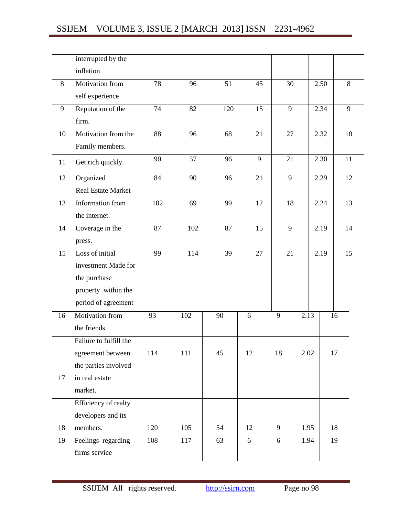|    | interrupted by the     |                 |     |     |    |                |      |      |                |
|----|------------------------|-----------------|-----|-----|----|----------------|------|------|----------------|
|    | inflation.             |                 |     |     |    |                |      |      |                |
| 8  | Motivation from        | $\overline{78}$ | 96  | 51  | 45 | 30             |      | 2.50 | 8              |
|    | self experience        |                 |     |     |    |                |      |      |                |
| 9  | Reputation of the      | 74              | 82  | 120 | 15 | 9              |      | 2.34 | $\overline{9}$ |
|    | firm.                  |                 |     |     |    |                |      |      |                |
| 10 | Motivation from the    | $\overline{88}$ | 96  | 68  | 21 | 27             |      | 2.32 | 10             |
|    | Family members.        |                 |     |     |    |                |      |      |                |
| 11 | Get rich quickly.      | 90              | 57  | 96  | 9  | 21             |      | 2.30 | 11             |
| 12 | Organized              | 84              | 90  | 96  | 21 | 9              |      | 2.29 | 12             |
|    | Real Estate Market     |                 |     |     |    |                |      |      |                |
| 13 | Information from       | 102             | 69  | 99  | 12 | 18             |      | 2.24 | 13             |
|    | the internet.          |                 |     |     |    |                |      |      |                |
| 14 | Coverage in the        | 87              | 102 | 87  | 15 | $\overline{9}$ |      | 2.19 | 14             |
|    | press.                 |                 |     |     |    |                |      |      |                |
| 15 | Loss of initial        | 99              | 114 | 39  | 27 | 21             |      | 2.19 | 15             |
|    | investment Made for    |                 |     |     |    |                |      |      |                |
|    | the purchase           |                 |     |     |    |                |      |      |                |
|    | property within the    |                 |     |     |    |                |      |      |                |
|    | period of agreement    |                 |     |     |    |                |      |      |                |
| 16 | Motivation from        | 93              | 102 | 90  | 6  | 9              | 2.13 |      | 16             |
|    | the friends.           |                 |     |     |    |                |      |      |                |
|    | Failure to fulfill the |                 |     |     |    |                |      |      |                |
|    | agreement between      | 114             | 111 | 45  | 12 | 18             | 2.02 |      | 17             |
|    | the parties involved   |                 |     |     |    |                |      |      |                |
| 17 | in real estate         |                 |     |     |    |                |      |      |                |
|    | market.                |                 |     |     |    |                |      |      |                |
|    | Efficiency of realty   |                 |     |     |    |                |      |      |                |
|    | developers and its     |                 |     |     |    |                |      |      |                |
| 18 | members.               | 120             | 105 | 54  | 12 | 9              | 1.95 |      | 18             |
| 19 | Feelings regarding     | 108             | 117 | 63  | 6  | 6              | 1.94 |      | 19             |
|    | firms service          |                 |     |     |    |                |      |      |                |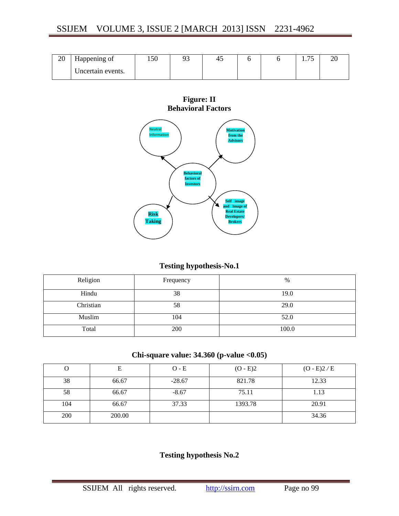| 20 | Happening of      | 1 JU | . ۔ | 4J |  | $-$<br>1. I J | $\overline{\phantom{a}}$ |
|----|-------------------|------|-----|----|--|---------------|--------------------------|
|    | Uncertain events. |      |     |    |  |               |                          |





## **Testing hypothesis-No.1**

| Religion  | Frequency | %     |
|-----------|-----------|-------|
| Hindu     | 38        | 19.0  |
| Christian | 58        | 29.0  |
| Muslim    | 104       | 52.0  |
| Total     | 200       | 100.0 |

## **Chi-square value: 34.360 (p-value <0.05)**

|     |        | $O - E$  | $(O - E)2$ | $(O - E)2 / E$ |
|-----|--------|----------|------------|----------------|
| 38  | 66.67  | $-28.67$ | 821.78     | 12.33          |
| 58  | 66.67  | $-8.67$  | 75.11      | 1.13           |
| 104 | 66.67  | 37.33    | 1393.78    | 20.91          |
| 200 | 200.00 |          |            | 34.36          |

## **Testing hypothesis No.2**